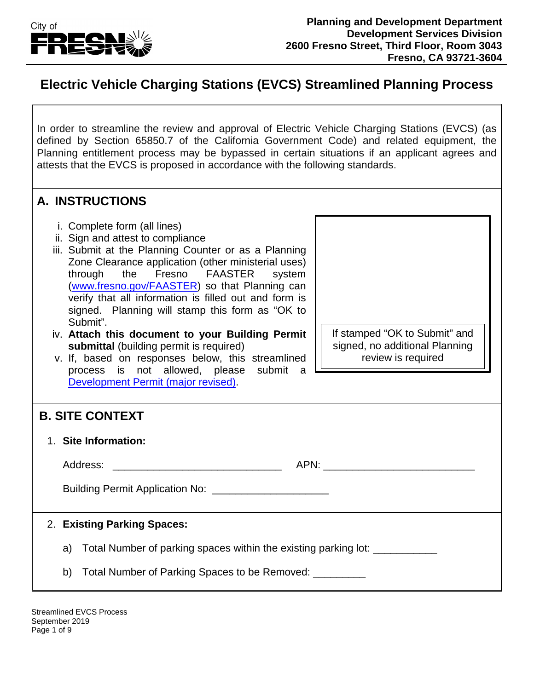

## **Electric Vehicle Charging Stations (EVCS) Streamlined Planning Process**

In order to streamline the review and approval of Electric Vehicle Charging Stations (EVCS) (as defined by Section 65850.7 of the California Government Code) and related equipment, the Planning entitlement process may be bypassed in certain situations if an applicant agrees and attests that the EVCS is proposed in accordance with the following standards.

### **A. INSTRUCTIONS**

- i. Complete form (all lines)
- ii. Sign and attest to compliance
- iii. Submit at the Planning Counter or as a Planning Zone Clearance application (other ministerial uses) through the Fresno FAASTER system [\(www.fresno.gov/FAASTER\)](http://www.fresno.gov/FAASTER) so that Planning can verify that all information is filled out and form is signed. Planning will stamp this form as "OK to Submit".
- iv. **Attach this document to your Building Permit submittal** (building permit is required)
- v. If, based on responses below, this streamlined process is not allowed, please submit a [Development Permit \(major](https://www.fresno.gov/darm/wp-content/uploads/sites/10/2019/05/EV-Charging-Submittal-Checklist.pdf) revised).

## **B. SITE CONTEXT**

1. **Site Information:**

Address: \_\_\_\_\_\_\_\_\_\_\_\_\_\_\_\_\_\_\_\_\_\_\_\_\_\_\_\_\_ APN: \_\_\_\_\_\_\_\_\_\_\_\_\_\_\_\_\_\_\_\_\_\_\_\_\_\_

Building Permit Application No:

#### 2. **Existing Parking Spaces:**

- a) Total Number of parking spaces within the existing parking lot:
- b) Total Number of Parking Spaces to be Removed:

Streamlined EVCS Process September 2019 Page 1 of 9

If stamped "OK to Submit" and signed, no additional Planning review is required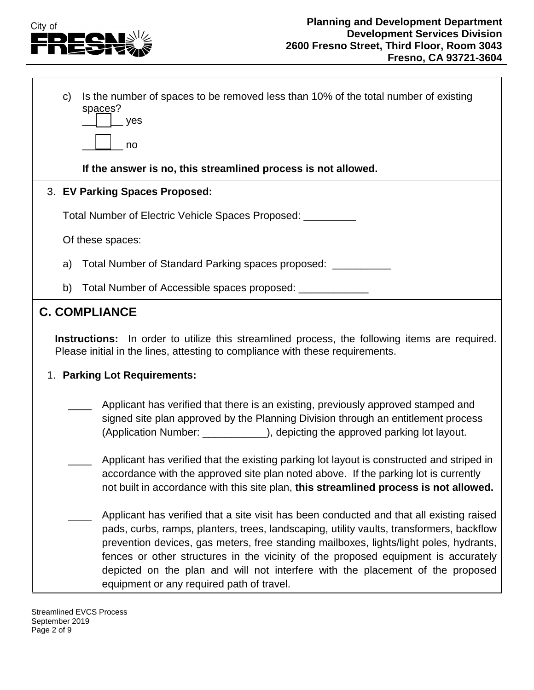

|                                                                                                                                                                                       | C) | Is the number of spaces to be removed less than 10% of the total number of existing<br>spaces?<br>yes                                                                                                                                                                                                                                                                                                                                                                                               |  |
|---------------------------------------------------------------------------------------------------------------------------------------------------------------------------------------|----|-----------------------------------------------------------------------------------------------------------------------------------------------------------------------------------------------------------------------------------------------------------------------------------------------------------------------------------------------------------------------------------------------------------------------------------------------------------------------------------------------------|--|
|                                                                                                                                                                                       |    | no                                                                                                                                                                                                                                                                                                                                                                                                                                                                                                  |  |
|                                                                                                                                                                                       |    | If the answer is no, this streamlined process is not allowed.                                                                                                                                                                                                                                                                                                                                                                                                                                       |  |
|                                                                                                                                                                                       |    | 3. EV Parking Spaces Proposed:                                                                                                                                                                                                                                                                                                                                                                                                                                                                      |  |
|                                                                                                                                                                                       |    | Total Number of Electric Vehicle Spaces Proposed: ____                                                                                                                                                                                                                                                                                                                                                                                                                                              |  |
|                                                                                                                                                                                       |    | Of these spaces:                                                                                                                                                                                                                                                                                                                                                                                                                                                                                    |  |
|                                                                                                                                                                                       | a) | Total Number of Standard Parking spaces proposed: ____                                                                                                                                                                                                                                                                                                                                                                                                                                              |  |
|                                                                                                                                                                                       | b) | Total Number of Accessible spaces proposed: ____________                                                                                                                                                                                                                                                                                                                                                                                                                                            |  |
| <b>C. COMPLIANCE</b>                                                                                                                                                                  |    |                                                                                                                                                                                                                                                                                                                                                                                                                                                                                                     |  |
| <b>Instructions:</b> In order to utilize this streamlined process, the following items are required.<br>Please initial in the lines, attesting to compliance with these requirements. |    |                                                                                                                                                                                                                                                                                                                                                                                                                                                                                                     |  |
| 1. Parking Lot Requirements:                                                                                                                                                          |    |                                                                                                                                                                                                                                                                                                                                                                                                                                                                                                     |  |
|                                                                                                                                                                                       |    | Applicant has verified that there is an existing, previously approved stamped and<br>signed site plan approved by the Planning Division through an entitlement process<br>(Application Number: ____________), depicting the approved parking lot layout.                                                                                                                                                                                                                                            |  |
|                                                                                                                                                                                       |    | Applicant has verified that the existing parking lot layout is constructed and striped in<br>accordance with the approved site plan noted above. If the parking lot is currently<br>not built in accordance with this site plan, this streamlined process is not allowed.                                                                                                                                                                                                                           |  |
|                                                                                                                                                                                       |    | Applicant has verified that a site visit has been conducted and that all existing raised<br>pads, curbs, ramps, planters, trees, landscaping, utility vaults, transformers, backflow<br>prevention devices, gas meters, free standing mailboxes, lights/light poles, hydrants,<br>fences or other structures in the vicinity of the proposed equipment is accurately<br>depicted on the plan and will not interfere with the placement of the proposed<br>equipment or any required path of travel. |  |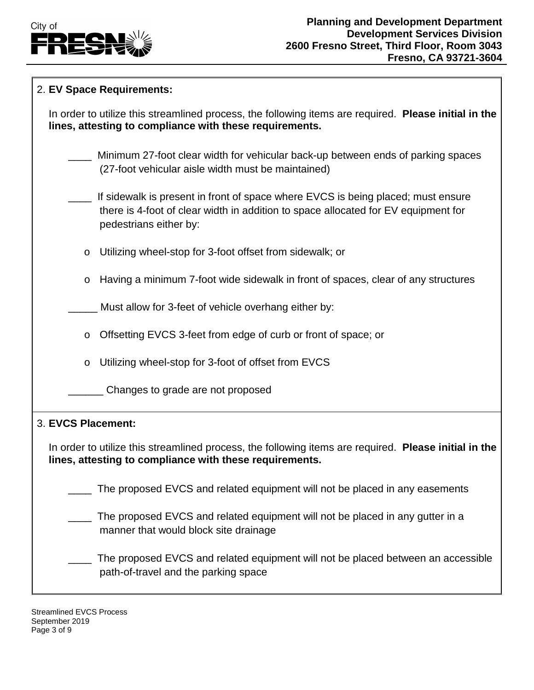

| 2. EV Space Requirements:                                                                                                                                                                        |  |  |  |  |
|--------------------------------------------------------------------------------------------------------------------------------------------------------------------------------------------------|--|--|--|--|
| In order to utilize this streamlined process, the following items are required. Please initial in the<br>lines, attesting to compliance with these requirements.                                 |  |  |  |  |
| Minimum 27-foot clear width for vehicular back-up between ends of parking spaces<br>(27-foot vehicular aisle width must be maintained)                                                           |  |  |  |  |
| If sidewalk is present in front of space where EVCS is being placed; must ensure<br>there is 4-foot of clear width in addition to space allocated for EV equipment for<br>pedestrians either by: |  |  |  |  |
| Utilizing wheel-stop for 3-foot offset from sidewalk; or<br>$\circ$                                                                                                                              |  |  |  |  |
| Having a minimum 7-foot wide sidewalk in front of spaces, clear of any structures<br>O                                                                                                           |  |  |  |  |
| Must allow for 3-feet of vehicle overhang either by:                                                                                                                                             |  |  |  |  |
| Offsetting EVCS 3-feet from edge of curb or front of space; or<br>$\circ$                                                                                                                        |  |  |  |  |
| Utilizing wheel-stop for 3-foot of offset from EVCS<br>$\circ$                                                                                                                                   |  |  |  |  |
| Changes to grade are not proposed                                                                                                                                                                |  |  |  |  |
| 3. EVCS Placement:                                                                                                                                                                               |  |  |  |  |
| In order to utilize this streamlined process, the following items are required. Please initial in the<br>lines, attesting to compliance with these requirements.                                 |  |  |  |  |
| The proposed EVCS and related equipment will not be placed in any easements                                                                                                                      |  |  |  |  |
| The proposed EVCS and related equipment will not be placed in any gutter in a<br>manner that would block site drainage                                                                           |  |  |  |  |
| The proposed EVCS and related equipment will not be placed between an accessible<br>path-of-travel and the parking space                                                                         |  |  |  |  |

Streamlined EVCS Process September 2019 Page 3 of 9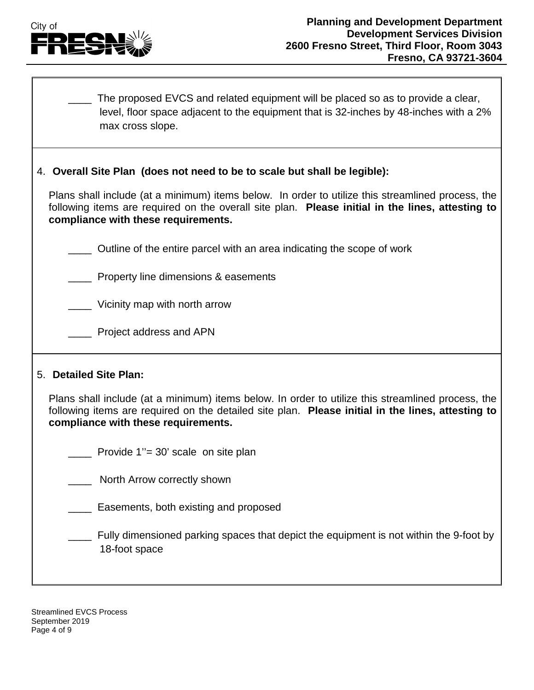

\_\_\_\_ The proposed EVCS and related equipment will be placed so as to provide a clear, level, floor space adjacent to the equipment that is 32-inches by 48-inches with a 2% max cross slope.

#### 4. **Overall Site Plan (does not need to be to scale but shall be legible):**

Plans shall include (at a minimum) items below. In order to utilize this streamlined process, the following items are required on the overall site plan. **Please initial in the lines, attesting to compliance with these requirements.**

\_\_\_\_ Outline of the entire parcel with an area indicating the scope of work

\_\_\_\_ Property line dimensions & easements

\_\_\_\_ Vicinity map with north arrow

\_\_\_\_ Project address and APN

#### 5. **Detailed Site Plan:**

Plans shall include (at a minimum) items below. In order to utilize this streamlined process, the following items are required on the detailed site plan. **Please initial in the lines, attesting to compliance with these requirements.**

Provide 1"= 30' scale on site plan

North Arrow correctly shown

**Easements, both existing and proposed** 

\_\_\_\_ Fully dimensioned parking spaces that depict the equipment is not within the 9-foot by 18-foot space

Streamlined EVCS Process September 2019 Page 4 of 9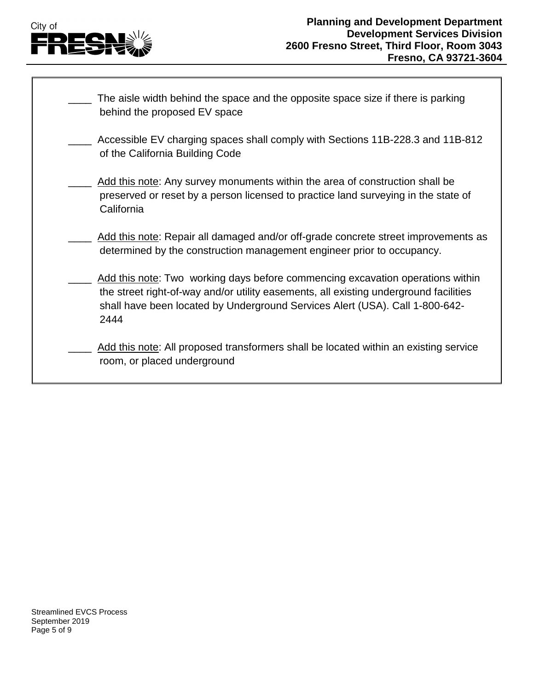# City of FRESN

| The aisle width behind the space and the opposite space size if there is parking<br>behind the proposed EV space                                                                                                                                                |
|-----------------------------------------------------------------------------------------------------------------------------------------------------------------------------------------------------------------------------------------------------------------|
| Accessible EV charging spaces shall comply with Sections 11B-228.3 and 11B-812<br>of the California Building Code                                                                                                                                               |
| Add this note: Any survey monuments within the area of construction shall be<br>preserved or reset by a person licensed to practice land surveying in the state of<br>California                                                                                |
| Add this note: Repair all damaged and/or off-grade concrete street improvements as<br>determined by the construction management engineer prior to occupancy.                                                                                                    |
| Add this note: Two working days before commencing excavation operations within<br>the street right-of-way and/or utility easements, all existing underground facilities<br>shall have been located by Underground Services Alert (USA). Call 1-800-642-<br>2444 |
| Add this note: All proposed transformers shall be located within an existing service<br>room, or placed underground                                                                                                                                             |
|                                                                                                                                                                                                                                                                 |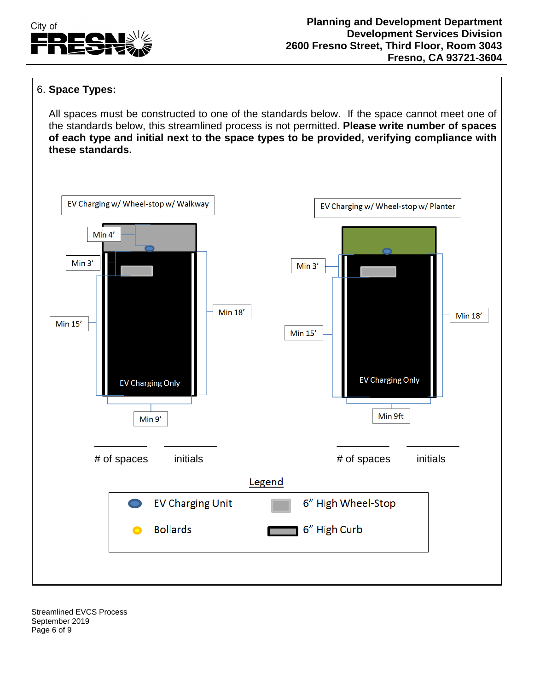

#### 6. **Space Types:**

All spaces must be constructed to one of the standards below. If the space cannot meet one of the standards below, this streamlined process is not permitted. **Please write number of spaces of each type and initial next to the space types to be provided, verifying compliance with these standards.**



Streamlined EVCS Process September 2019 Page 6 of 9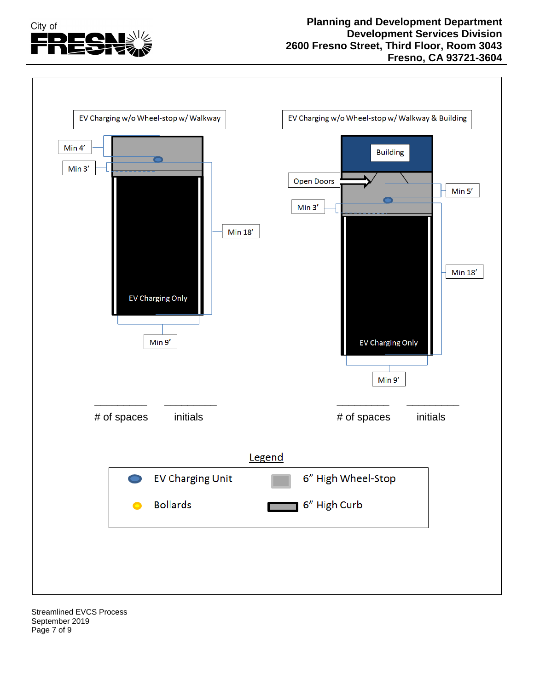



Streamlined EVCS Process September 2019 Page 7 of 9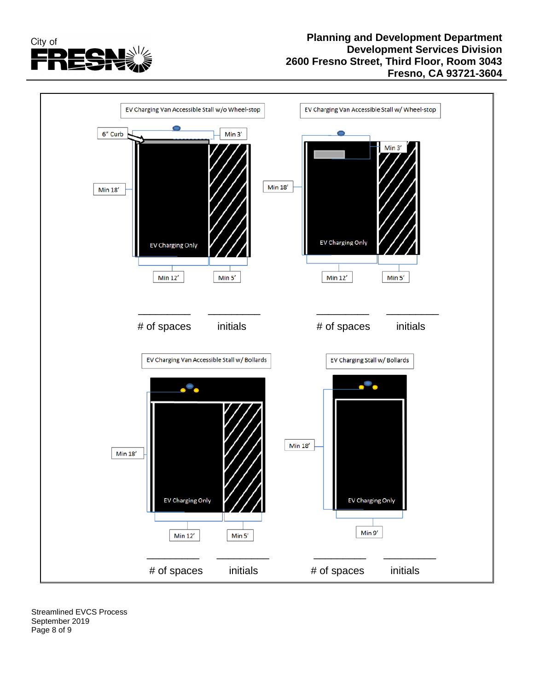



Streamlined EVCS Process September 2019 Page 8 of 9